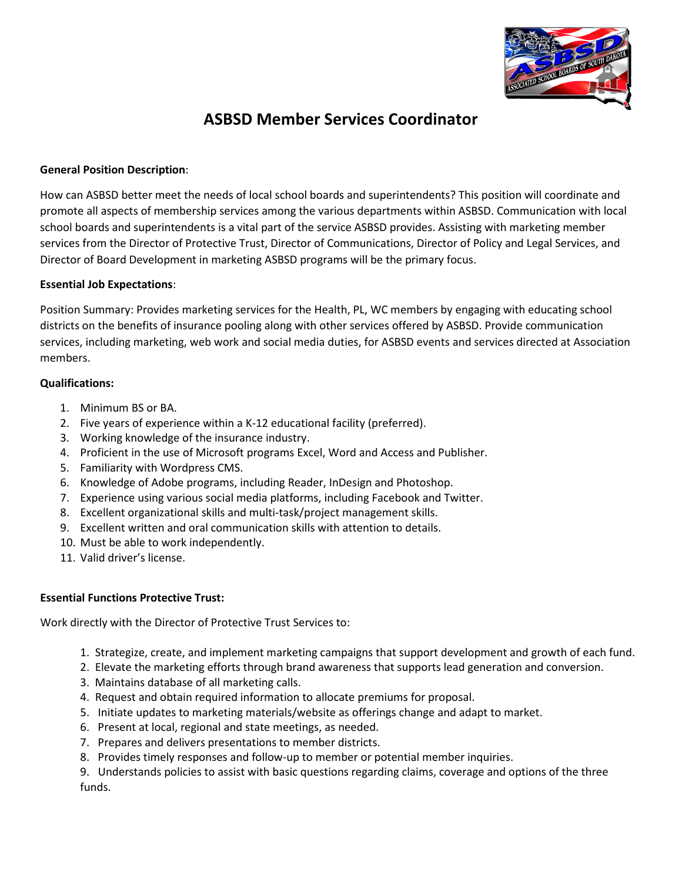

# **ASBSD Member Services Coordinator**

# **General Position Description**:

How can ASBSD better meet the needs of local school boards and superintendents? This position will coordinate and promote all aspects of membership services among the various departments within ASBSD. Communication with local school boards and superintendents is a vital part of the service ASBSD provides. Assisting with marketing member services from the Director of Protective Trust, Director of Communications, Director of Policy and Legal Services, and Director of Board Development in marketing ASBSD programs will be the primary focus.

## **Essential Job Expectations**:

Position Summary: Provides marketing services for the Health, PL, WC members by engaging with educating school districts on the benefits of insurance pooling along with other services offered by ASBSD. Provide communication services, including marketing, web work and social media duties, for ASBSD events and services directed at Association members.

# **Qualifications:**

- 1. Minimum BS or BA.
- 2. Five years of experience within a K-12 educational facility (preferred).
- 3. Working knowledge of the insurance industry.
- 4. Proficient in the use of Microsoft programs Excel, Word and Access and Publisher.
- 5. Familiarity with Wordpress CMS.
- 6. Knowledge of Adobe programs, including Reader, InDesign and Photoshop.
- 7. Experience using various social media platforms, including Facebook and Twitter.
- 8. Excellent organizational skills and multi-task/project management skills.
- 9. Excellent written and oral communication skills with attention to details.
- 10. Must be able to work independently.
- 11. Valid driver's license.

# **Essential Functions Protective Trust:**

Work directly with the Director of Protective Trust Services to:

- 1. Strategize, create, and implement marketing campaigns that support development and growth of each fund.
- 2. Elevate the marketing efforts through brand awareness that supports lead generation and conversion.
- 3. Maintains database of all marketing calls.
- 4. Request and obtain required information to allocate premiums for proposal.
- 5. Initiate updates to marketing materials/website as offerings change and adapt to market.
- 6. Present at local, regional and state meetings, as needed.
- 7. Prepares and delivers presentations to member districts.
- 8. Provides timely responses and follow-up to member or potential member inquiries.

9. Understands policies to assist with basic questions regarding claims, coverage and options of the three funds.